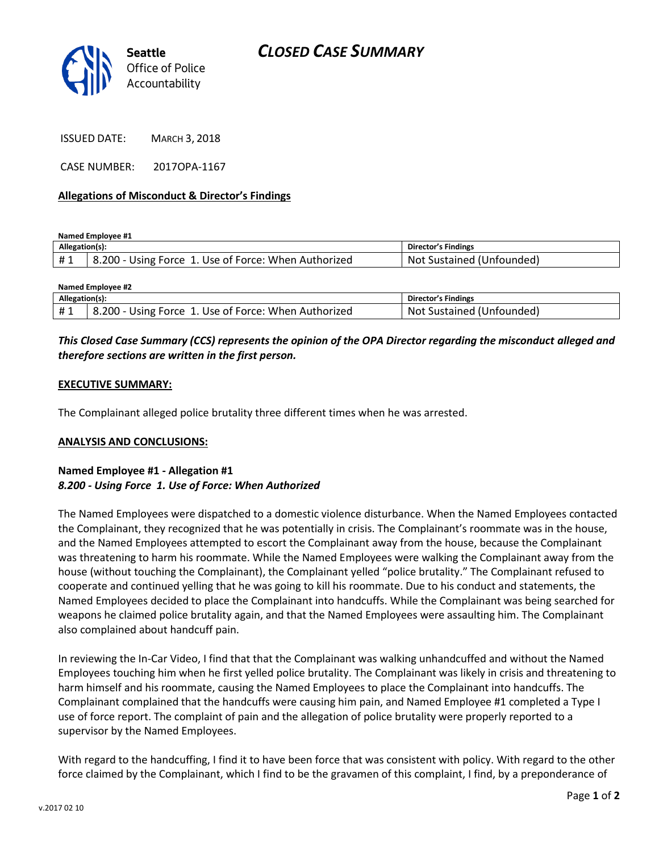

ISSUED DATE: MARCH 3, 2018

CASE NUMBER: 2017OPA-1167

#### **Allegations of Misconduct & Director's Findings**

**Named Employee #1**

| Allegation(s): |                                                                 | <b>Director's Findings</b>   |
|----------------|-----------------------------------------------------------------|------------------------------|
| #1             | $-8.200 - Using Force 1.$<br>'. Use of Force: When Authorized ' | Sustained (Unfounded)<br>Not |

| <b>Named Employee #2</b> |                                                      |                           |  |
|--------------------------|------------------------------------------------------|---------------------------|--|
| Allegation(s):           |                                                      | Director's Findings       |  |
| #1                       | 8.200 - Using Force 1. Use of Force: When Authorized | Not Sustained (Unfounded) |  |

## *This Closed Case Summary (CCS) represents the opinion of the OPA Director regarding the misconduct alleged and therefore sections are written in the first person.*

### **EXECUTIVE SUMMARY:**

The Complainant alleged police brutality three different times when he was arrested.

#### **ANALYSIS AND CONCLUSIONS:**

## **Named Employee #1 - Allegation #1** *8.200 - Using Force 1. Use of Force: When Authorized*

The Named Employees were dispatched to a domestic violence disturbance. When the Named Employees contacted the Complainant, they recognized that he was potentially in crisis. The Complainant's roommate was in the house, and the Named Employees attempted to escort the Complainant away from the house, because the Complainant was threatening to harm his roommate. While the Named Employees were walking the Complainant away from the house (without touching the Complainant), the Complainant yelled "police brutality." The Complainant refused to cooperate and continued yelling that he was going to kill his roommate. Due to his conduct and statements, the Named Employees decided to place the Complainant into handcuffs. While the Complainant was being searched for weapons he claimed police brutality again, and that the Named Employees were assaulting him. The Complainant also complained about handcuff pain.

In reviewing the In-Car Video, I find that that the Complainant was walking unhandcuffed and without the Named Employees touching him when he first yelled police brutality. The Complainant was likely in crisis and threatening to harm himself and his roommate, causing the Named Employees to place the Complainant into handcuffs. The Complainant complained that the handcuffs were causing him pain, and Named Employee #1 completed a Type I use of force report. The complaint of pain and the allegation of police brutality were properly reported to a supervisor by the Named Employees.

With regard to the handcuffing, I find it to have been force that was consistent with policy. With regard to the other force claimed by the Complainant, which I find to be the gravamen of this complaint, I find, by a preponderance of